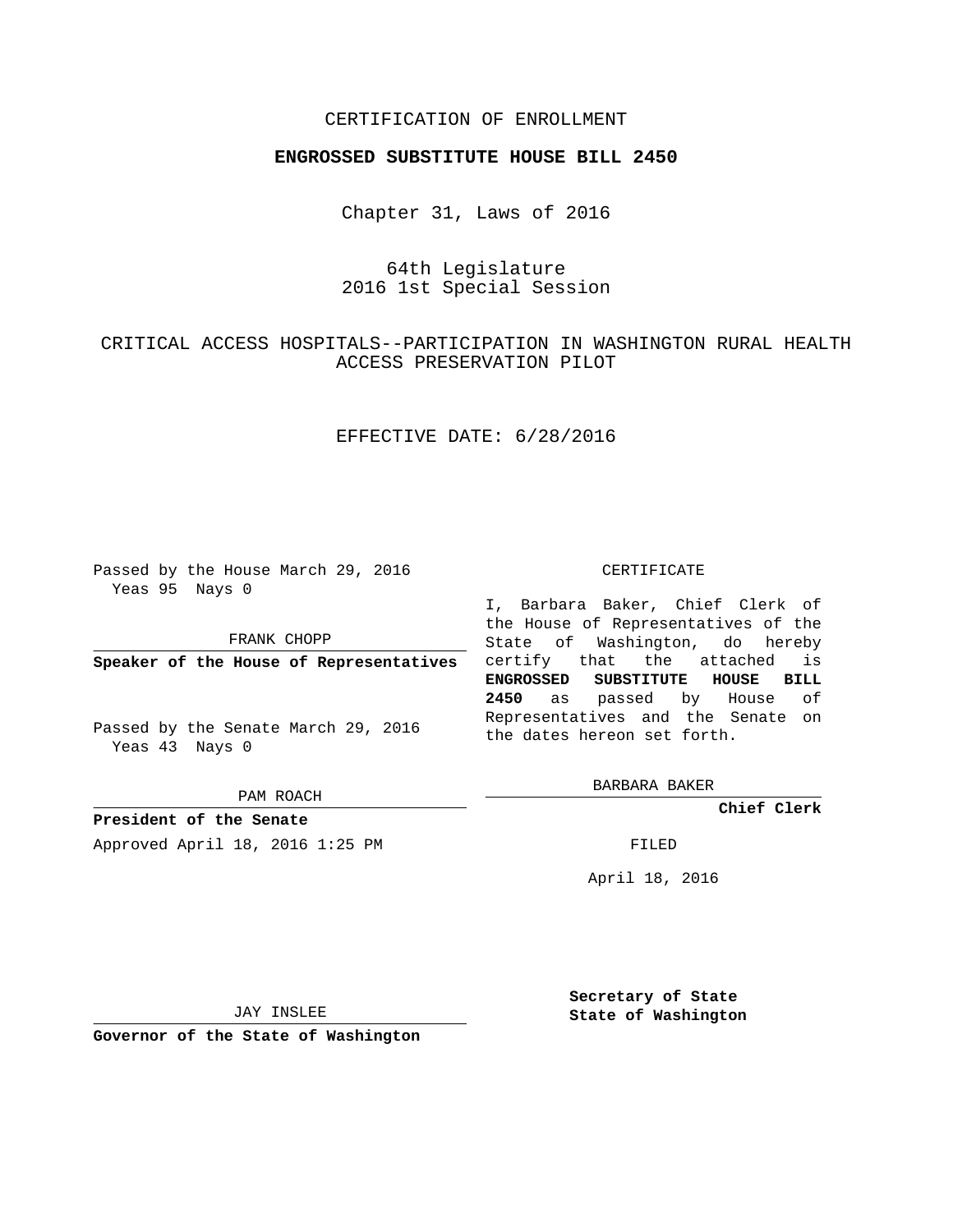## CERTIFICATION OF ENROLLMENT

## **ENGROSSED SUBSTITUTE HOUSE BILL 2450**

Chapter 31, Laws of 2016

64th Legislature 2016 1st Special Session

# CRITICAL ACCESS HOSPITALS--PARTICIPATION IN WASHINGTON RURAL HEALTH ACCESS PRESERVATION PILOT

## EFFECTIVE DATE: 6/28/2016

Passed by the House March 29, 2016 Yeas 95 Nays 0

FRANK CHOPP

**Speaker of the House of Representatives**

Passed by the Senate March 29, 2016 Yeas 43 Nays 0

PAM ROACH

**President of the Senate** Approved April 18, 2016 1:25 PM FILED

#### CERTIFICATE

I, Barbara Baker, Chief Clerk of the House of Representatives of the State of Washington, do hereby certify that the attached is **ENGROSSED SUBSTITUTE HOUSE BILL 2450** as passed by House of Representatives and the Senate on the dates hereon set forth.

BARBARA BAKER

**Chief Clerk**

April 18, 2016

JAY INSLEE

**Governor of the State of Washington**

**Secretary of State State of Washington**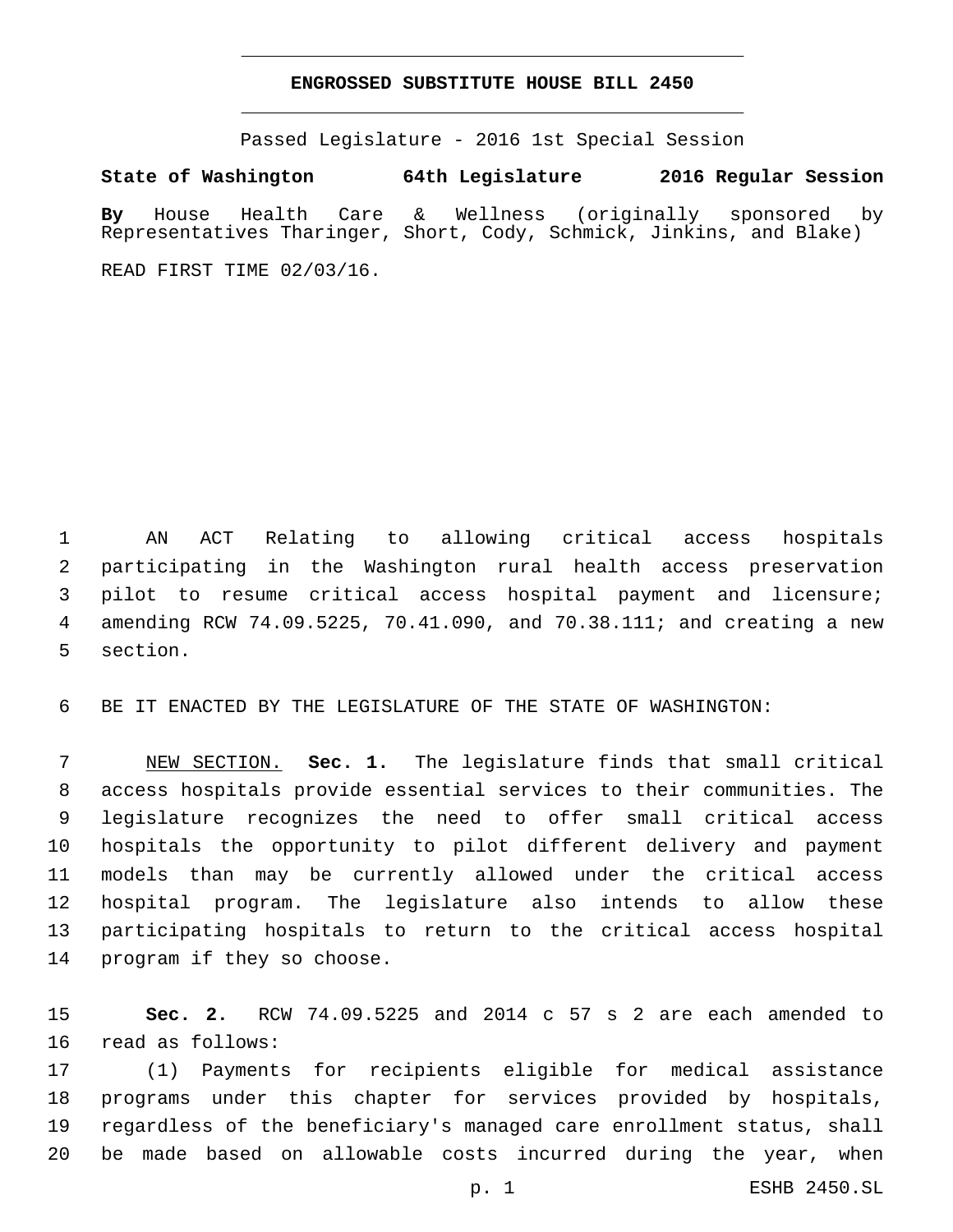### **ENGROSSED SUBSTITUTE HOUSE BILL 2450**

Passed Legislature - 2016 1st Special Session

**State of Washington 64th Legislature 2016 Regular Session**

**By** House Health Care & Wellness (originally sponsored by Representatives Tharinger, Short, Cody, Schmick, Jinkins, and Blake)

READ FIRST TIME 02/03/16.

 AN ACT Relating to allowing critical access hospitals participating in the Washington rural health access preservation pilot to resume critical access hospital payment and licensure; amending RCW 74.09.5225, 70.41.090, and 70.38.111; and creating a new 5 section.

BE IT ENACTED BY THE LEGISLATURE OF THE STATE OF WASHINGTON:

 NEW SECTION. **Sec. 1.** The legislature finds that small critical access hospitals provide essential services to their communities. The legislature recognizes the need to offer small critical access hospitals the opportunity to pilot different delivery and payment models than may be currently allowed under the critical access hospital program. The legislature also intends to allow these participating hospitals to return to the critical access hospital program if they so choose.

 **Sec. 2.** RCW 74.09.5225 and 2014 c 57 s 2 are each amended to 16 read as follows:

 (1) Payments for recipients eligible for medical assistance programs under this chapter for services provided by hospitals, regardless of the beneficiary's managed care enrollment status, shall be made based on allowable costs incurred during the year, when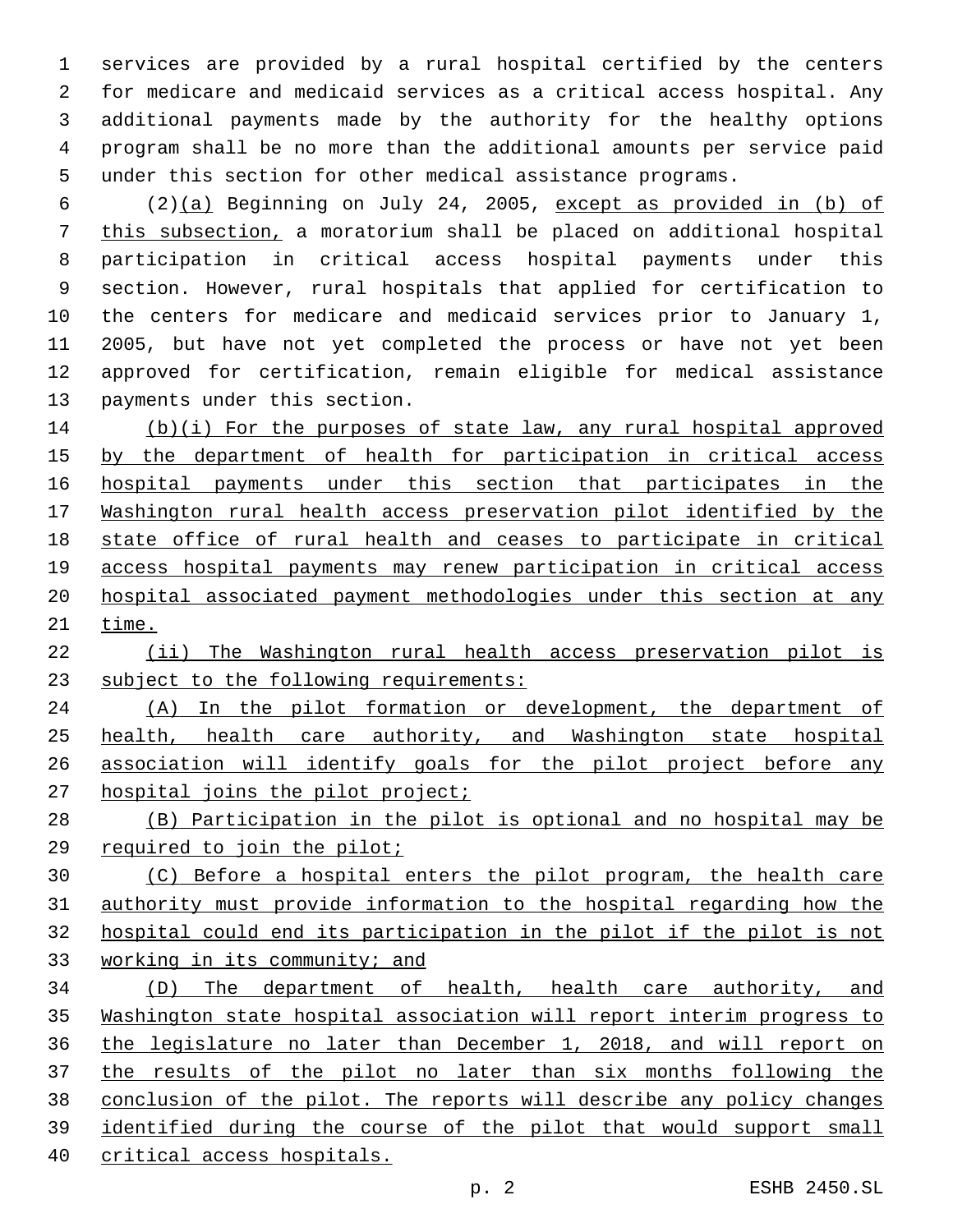services are provided by a rural hospital certified by the centers for medicare and medicaid services as a critical access hospital. Any additional payments made by the authority for the healthy options program shall be no more than the additional amounts per service paid under this section for other medical assistance programs.

6 (2)(a) Beginning on July 24, 2005, except as provided in (b) of this subsection, a moratorium shall be placed on additional hospital participation in critical access hospital payments under this section. However, rural hospitals that applied for certification to the centers for medicare and medicaid services prior to January 1, 2005, but have not yet completed the process or have not yet been approved for certification, remain eligible for medical assistance 13 payments under this section.

 (b)(i) For the purposes of state law, any rural hospital approved by the department of health for participation in critical access hospital payments under this section that participates in the Washington rural health access preservation pilot identified by the state office of rural health and ceases to participate in critical access hospital payments may renew participation in critical access 20 hospital associated payment methodologies under this section at any time.

 (ii) The Washington rural health access preservation pilot is 23 subject to the following requirements:

 (A) In the pilot formation or development, the department of health, health care authority, and Washington state hospital association will identify goals for the pilot project before any 27 hospital joins the pilot project;

 (B) Participation in the pilot is optional and no hospital may be required to join the pilot;

 (C) Before a hospital enters the pilot program, the health care authority must provide information to the hospital regarding how the hospital could end its participation in the pilot if the pilot is not working in its community; and

 (D) The department of health, health care authority, and Washington state hospital association will report interim progress to the legislature no later than December 1, 2018, and will report on the results of the pilot no later than six months following the conclusion of the pilot. The reports will describe any policy changes identified during the course of the pilot that would support small critical access hospitals.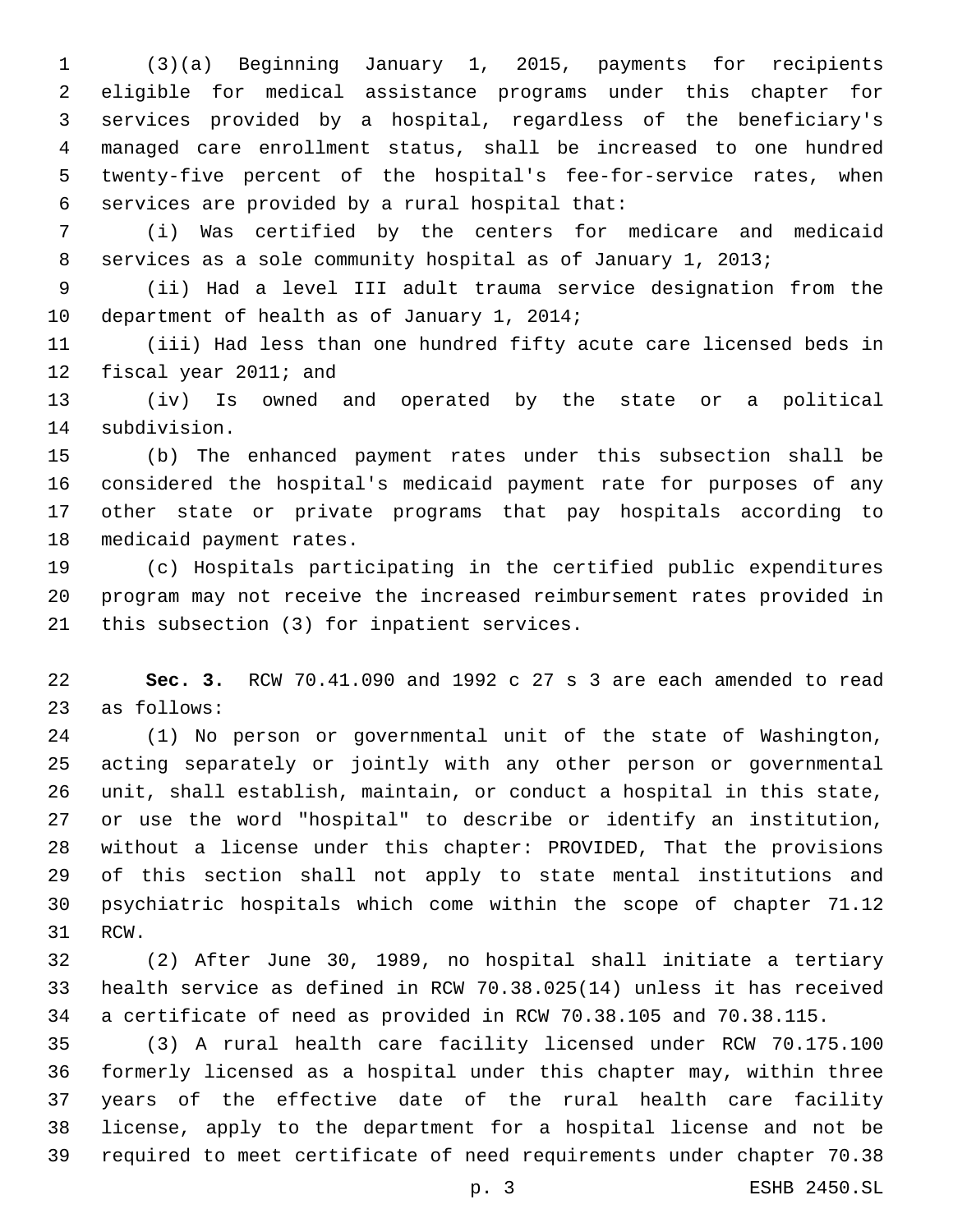(3)(a) Beginning January 1, 2015, payments for recipients eligible for medical assistance programs under this chapter for services provided by a hospital, regardless of the beneficiary's managed care enrollment status, shall be increased to one hundred twenty-five percent of the hospital's fee-for-service rates, when 6 services are provided by a rural hospital that:

 (i) Was certified by the centers for medicare and medicaid services as a sole community hospital as of January 1, 2013;

 (ii) Had a level III adult trauma service designation from the 10 department of health as of January 1, 2014;

 (iii) Had less than one hundred fifty acute care licensed beds in 12 fiscal year 2011; and

 (iv) Is owned and operated by the state or a political 14 subdivision.

 (b) The enhanced payment rates under this subsection shall be considered the hospital's medicaid payment rate for purposes of any other state or private programs that pay hospitals according to 18 medicaid payment rates.

 (c) Hospitals participating in the certified public expenditures program may not receive the increased reimbursement rates provided in 21 this subsection (3) for inpatient services.

 **Sec. 3.** RCW 70.41.090 and 1992 c 27 s 3 are each amended to read 23 as follows:

 (1) No person or governmental unit of the state of Washington, acting separately or jointly with any other person or governmental unit, shall establish, maintain, or conduct a hospital in this state, or use the word "hospital" to describe or identify an institution, without a license under this chapter: PROVIDED, That the provisions of this section shall not apply to state mental institutions and psychiatric hospitals which come within the scope of chapter 71.12 31 RCW.

 (2) After June 30, 1989, no hospital shall initiate a tertiary health service as defined in RCW 70.38.025(14) unless it has received a certificate of need as provided in RCW 70.38.105 and 70.38.115.

 (3) A rural health care facility licensed under RCW 70.175.100 formerly licensed as a hospital under this chapter may, within three years of the effective date of the rural health care facility license, apply to the department for a hospital license and not be required to meet certificate of need requirements under chapter 70.38

p. 3 ESHB 2450.SL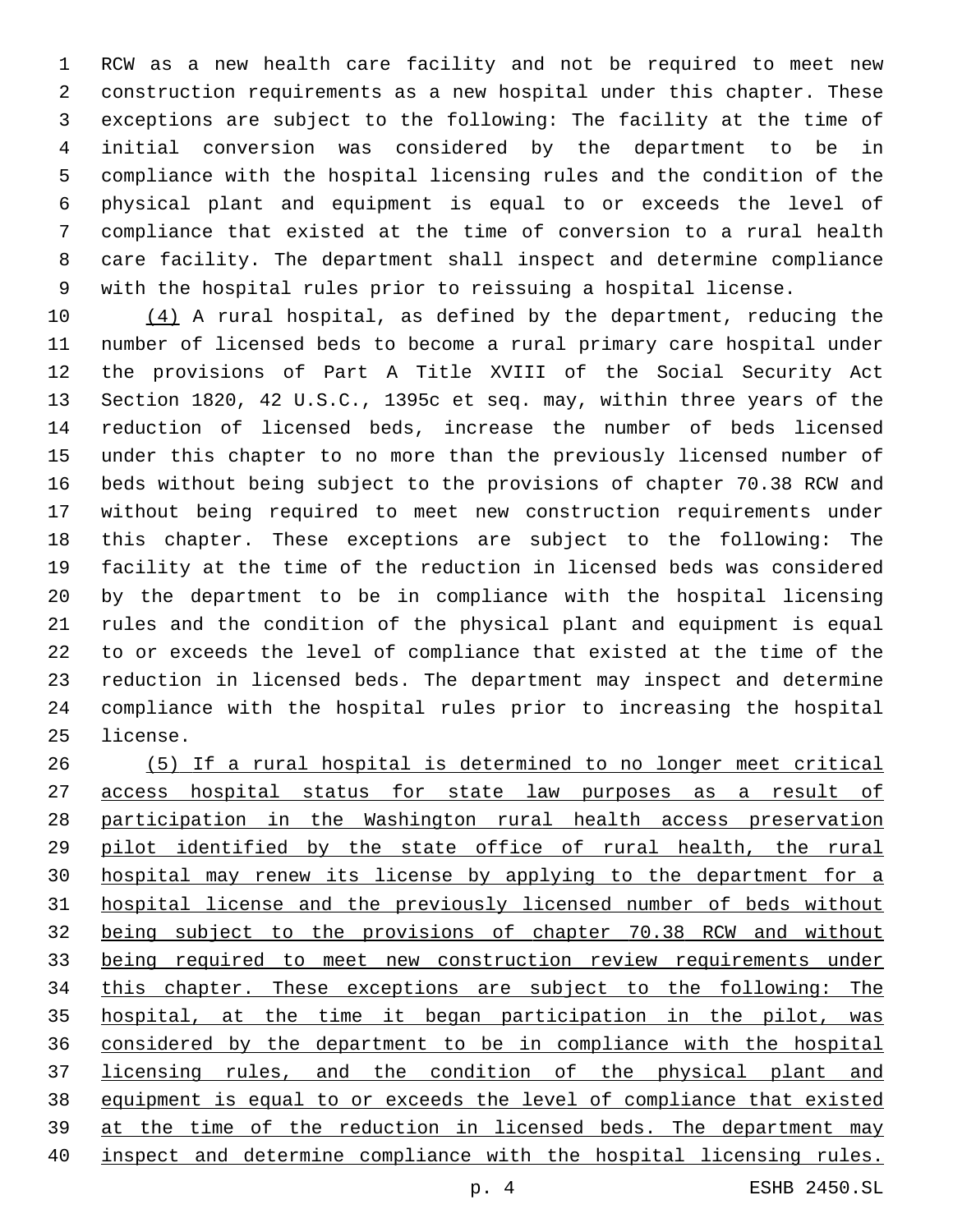RCW as a new health care facility and not be required to meet new construction requirements as a new hospital under this chapter. These exceptions are subject to the following: The facility at the time of initial conversion was considered by the department to be in compliance with the hospital licensing rules and the condition of the physical plant and equipment is equal to or exceeds the level of compliance that existed at the time of conversion to a rural health care facility. The department shall inspect and determine compliance with the hospital rules prior to reissuing a hospital license.

10 (4) A rural hospital, as defined by the department, reducing the number of licensed beds to become a rural primary care hospital under the provisions of Part A Title XVIII of the Social Security Act Section 1820, 42 U.S.C., 1395c et seq. may, within three years of the reduction of licensed beds, increase the number of beds licensed under this chapter to no more than the previously licensed number of beds without being subject to the provisions of chapter 70.38 RCW and without being required to meet new construction requirements under this chapter. These exceptions are subject to the following: The facility at the time of the reduction in licensed beds was considered by the department to be in compliance with the hospital licensing rules and the condition of the physical plant and equipment is equal to or exceeds the level of compliance that existed at the time of the reduction in licensed beds. The department may inspect and determine compliance with the hospital rules prior to increasing the hospital 25 license.

 (5) If a rural hospital is determined to no longer meet critical 27 access hospital status for state law purposes as a result of participation in the Washington rural health access preservation pilot identified by the state office of rural health, the rural hospital may renew its license by applying to the department for a hospital license and the previously licensed number of beds without being subject to the provisions of chapter 70.38 RCW and without being required to meet new construction review requirements under this chapter. These exceptions are subject to the following: The hospital, at the time it began participation in the pilot, was considered by the department to be in compliance with the hospital licensing rules, and the condition of the physical plant and equipment is equal to or exceeds the level of compliance that existed 39 at the time of the reduction in licensed beds. The department may inspect and determine compliance with the hospital licensing rules.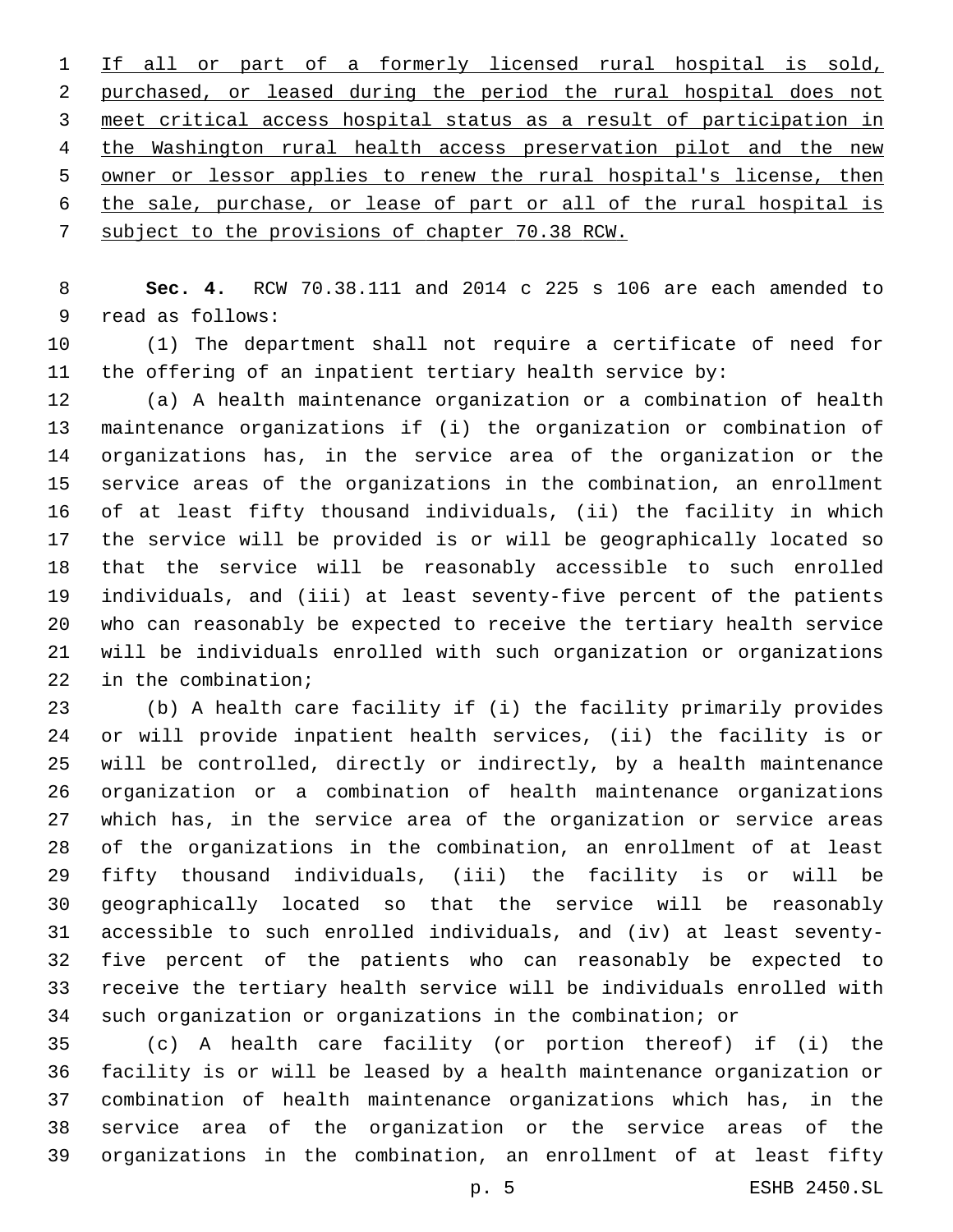If all or part of a formerly licensed rural hospital is sold, purchased, or leased during the period the rural hospital does not meet critical access hospital status as a result of participation in 4 the Washington rural health access preservation pilot and the new owner or lessor applies to renew the rural hospital's license, then the sale, purchase, or lease of part or all of the rural hospital is 7 subject to the provisions of chapter 70.38 RCW.

 **Sec. 4.** RCW 70.38.111 and 2014 c 225 s 106 are each amended to 9 read as follows:

 (1) The department shall not require a certificate of need for the offering of an inpatient tertiary health service by:

 (a) A health maintenance organization or a combination of health maintenance organizations if (i) the organization or combination of organizations has, in the service area of the organization or the service areas of the organizations in the combination, an enrollment of at least fifty thousand individuals, (ii) the facility in which the service will be provided is or will be geographically located so that the service will be reasonably accessible to such enrolled individuals, and (iii) at least seventy-five percent of the patients who can reasonably be expected to receive the tertiary health service will be individuals enrolled with such organization or organizations 22 in the combination;

 (b) A health care facility if (i) the facility primarily provides or will provide inpatient health services, (ii) the facility is or will be controlled, directly or indirectly, by a health maintenance organization or a combination of health maintenance organizations which has, in the service area of the organization or service areas of the organizations in the combination, an enrollment of at least fifty thousand individuals, (iii) the facility is or will be geographically located so that the service will be reasonably accessible to such enrolled individuals, and (iv) at least seventy- five percent of the patients who can reasonably be expected to receive the tertiary health service will be individuals enrolled with such organization or organizations in the combination; or

 (c) A health care facility (or portion thereof) if (i) the facility is or will be leased by a health maintenance organization or combination of health maintenance organizations which has, in the service area of the organization or the service areas of the organizations in the combination, an enrollment of at least fifty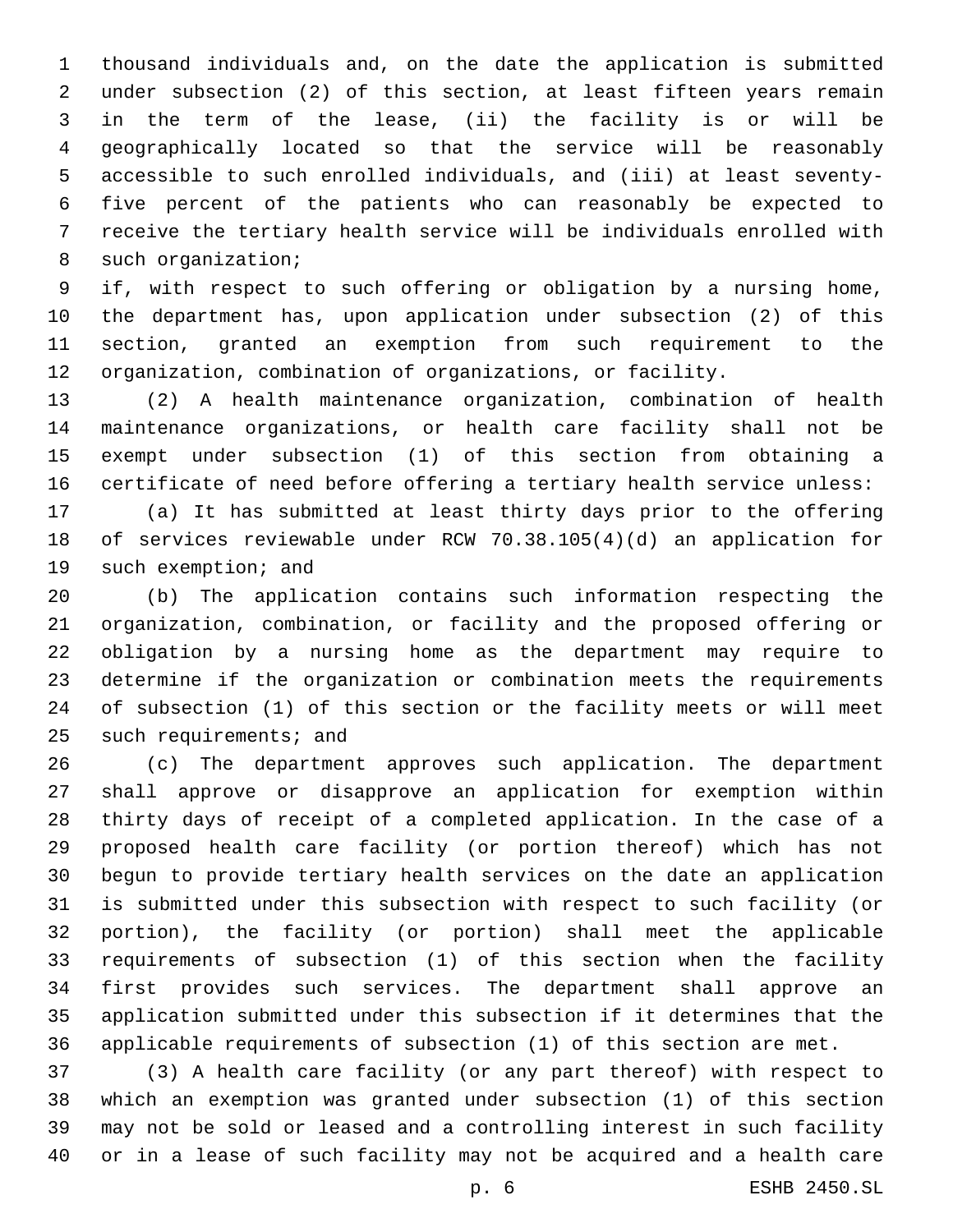thousand individuals and, on the date the application is submitted under subsection (2) of this section, at least fifteen years remain in the term of the lease, (ii) the facility is or will be geographically located so that the service will be reasonably accessible to such enrolled individuals, and (iii) at least seventy- five percent of the patients who can reasonably be expected to receive the tertiary health service will be individuals enrolled with 8 such organization;

 if, with respect to such offering or obligation by a nursing home, the department has, upon application under subsection (2) of this section, granted an exemption from such requirement to the organization, combination of organizations, or facility.

 (2) A health maintenance organization, combination of health maintenance organizations, or health care facility shall not be exempt under subsection (1) of this section from obtaining a certificate of need before offering a tertiary health service unless:

 (a) It has submitted at least thirty days prior to the offering of services reviewable under RCW 70.38.105(4)(d) an application for 19 such exemption; and

 (b) The application contains such information respecting the organization, combination, or facility and the proposed offering or obligation by a nursing home as the department may require to determine if the organization or combination meets the requirements of subsection (1) of this section or the facility meets or will meet 25 such requirements; and

 (c) The department approves such application. The department shall approve or disapprove an application for exemption within thirty days of receipt of a completed application. In the case of a proposed health care facility (or portion thereof) which has not begun to provide tertiary health services on the date an application is submitted under this subsection with respect to such facility (or portion), the facility (or portion) shall meet the applicable requirements of subsection (1) of this section when the facility first provides such services. The department shall approve an application submitted under this subsection if it determines that the applicable requirements of subsection (1) of this section are met.

 (3) A health care facility (or any part thereof) with respect to which an exemption was granted under subsection (1) of this section may not be sold or leased and a controlling interest in such facility or in a lease of such facility may not be acquired and a health care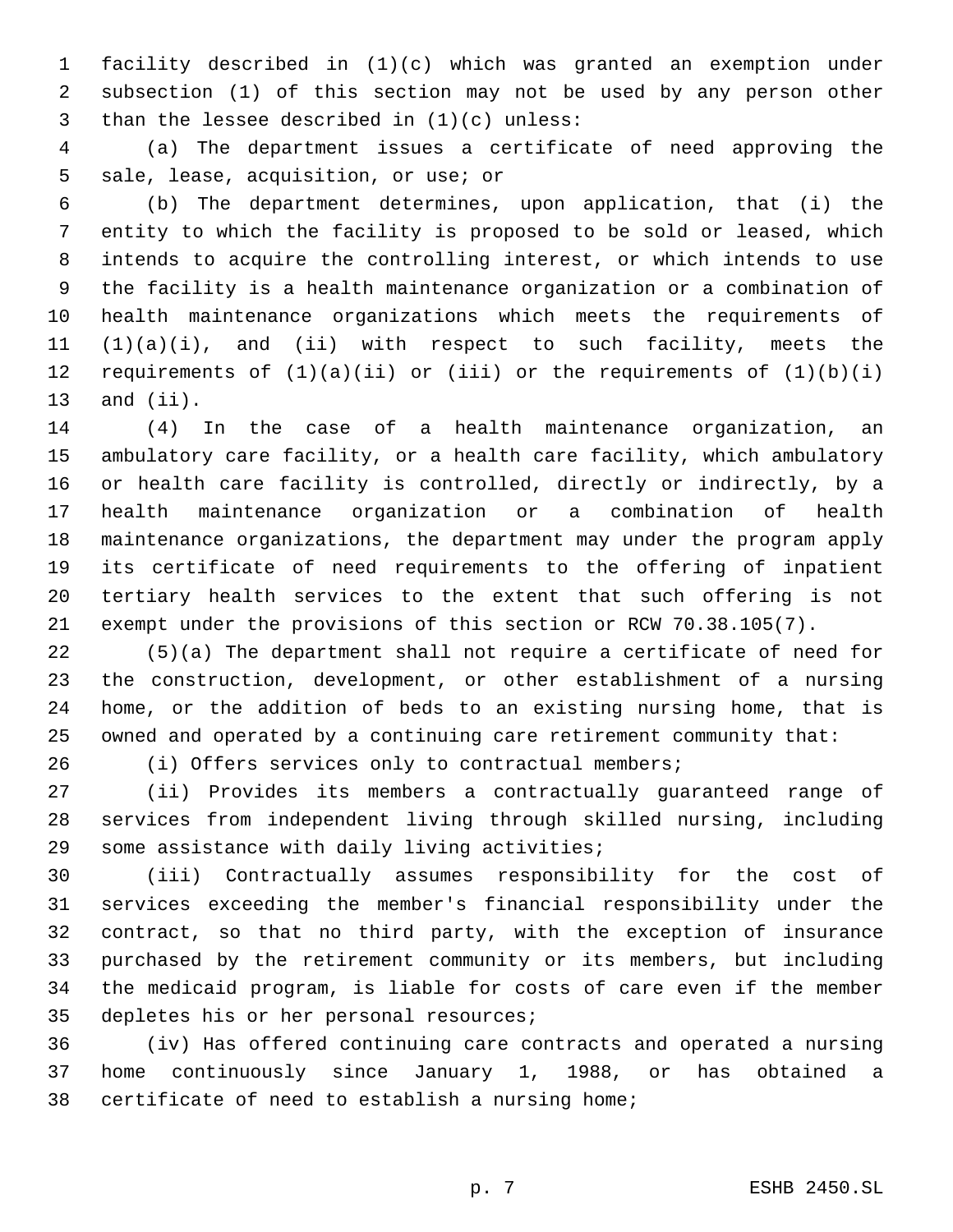facility described in (1)(c) which was granted an exemption under subsection (1) of this section may not be used by any person other 3 than the lessee described in  $(1)(c)$  unless:

 (a) The department issues a certificate of need approving the 5 sale, lease, acquisition, or use; or

 (b) The department determines, upon application, that (i) the entity to which the facility is proposed to be sold or leased, which intends to acquire the controlling interest, or which intends to use the facility is a health maintenance organization or a combination of health maintenance organizations which meets the requirements of (1)(a)(i), and (ii) with respect to such facility, meets the 12 requirements of  $(1)(a)(ii)$  or  $(iii)$  or the requirements of  $(1)(b)(i)$ 13 and  $(ii)$ .

 (4) In the case of a health maintenance organization, an ambulatory care facility, or a health care facility, which ambulatory or health care facility is controlled, directly or indirectly, by a health maintenance organization or a combination of health maintenance organizations, the department may under the program apply its certificate of need requirements to the offering of inpatient tertiary health services to the extent that such offering is not exempt under the provisions of this section or RCW 70.38.105(7).

 (5)(a) The department shall not require a certificate of need for the construction, development, or other establishment of a nursing home, or the addition of beds to an existing nursing home, that is owned and operated by a continuing care retirement community that:

(i) Offers services only to contractual members;

 (ii) Provides its members a contractually guaranteed range of services from independent living through skilled nursing, including 29 some assistance with daily living activities;

 (iii) Contractually assumes responsibility for the cost of services exceeding the member's financial responsibility under the contract, so that no third party, with the exception of insurance purchased by the retirement community or its members, but including the medicaid program, is liable for costs of care even if the member 35 depletes his or her personal resources;

 (iv) Has offered continuing care contracts and operated a nursing home continuously since January 1, 1988, or has obtained a 38 certificate of need to establish a nursing home;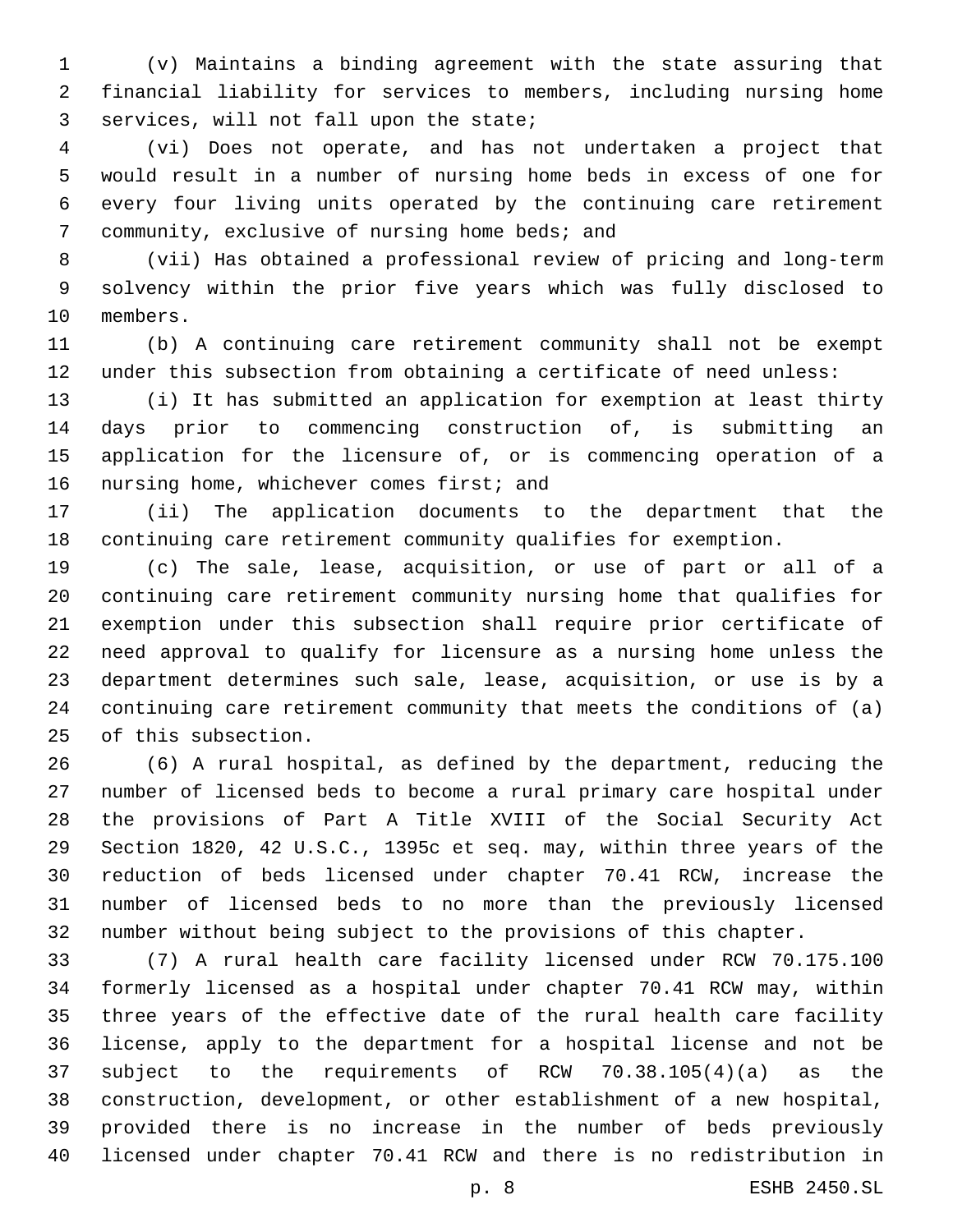(v) Maintains a binding agreement with the state assuring that financial liability for services to members, including nursing home 3 services, will not fall upon the state;

 (vi) Does not operate, and has not undertaken a project that would result in a number of nursing home beds in excess of one for every four living units operated by the continuing care retirement 7 community, exclusive of nursing home beds; and

 (vii) Has obtained a professional review of pricing and long-term solvency within the prior five years which was fully disclosed to 10 members.

 (b) A continuing care retirement community shall not be exempt under this subsection from obtaining a certificate of need unless:

 (i) It has submitted an application for exemption at least thirty days prior to commencing construction of, is submitting an application for the licensure of, or is commencing operation of a 16 nursing home, whichever comes first; and

 (ii) The application documents to the department that the continuing care retirement community qualifies for exemption.

 (c) The sale, lease, acquisition, or use of part or all of a continuing care retirement community nursing home that qualifies for exemption under this subsection shall require prior certificate of need approval to qualify for licensure as a nursing home unless the department determines such sale, lease, acquisition, or use is by a continuing care retirement community that meets the conditions of (a) 25 of this subsection.

 (6) A rural hospital, as defined by the department, reducing the number of licensed beds to become a rural primary care hospital under the provisions of Part A Title XVIII of the Social Security Act Section 1820, 42 U.S.C., 1395c et seq. may, within three years of the reduction of beds licensed under chapter 70.41 RCW, increase the number of licensed beds to no more than the previously licensed number without being subject to the provisions of this chapter.

 (7) A rural health care facility licensed under RCW 70.175.100 formerly licensed as a hospital under chapter 70.41 RCW may, within three years of the effective date of the rural health care facility license, apply to the department for a hospital license and not be subject to the requirements of RCW 70.38.105(4)(a) as the construction, development, or other establishment of a new hospital, provided there is no increase in the number of beds previously licensed under chapter 70.41 RCW and there is no redistribution in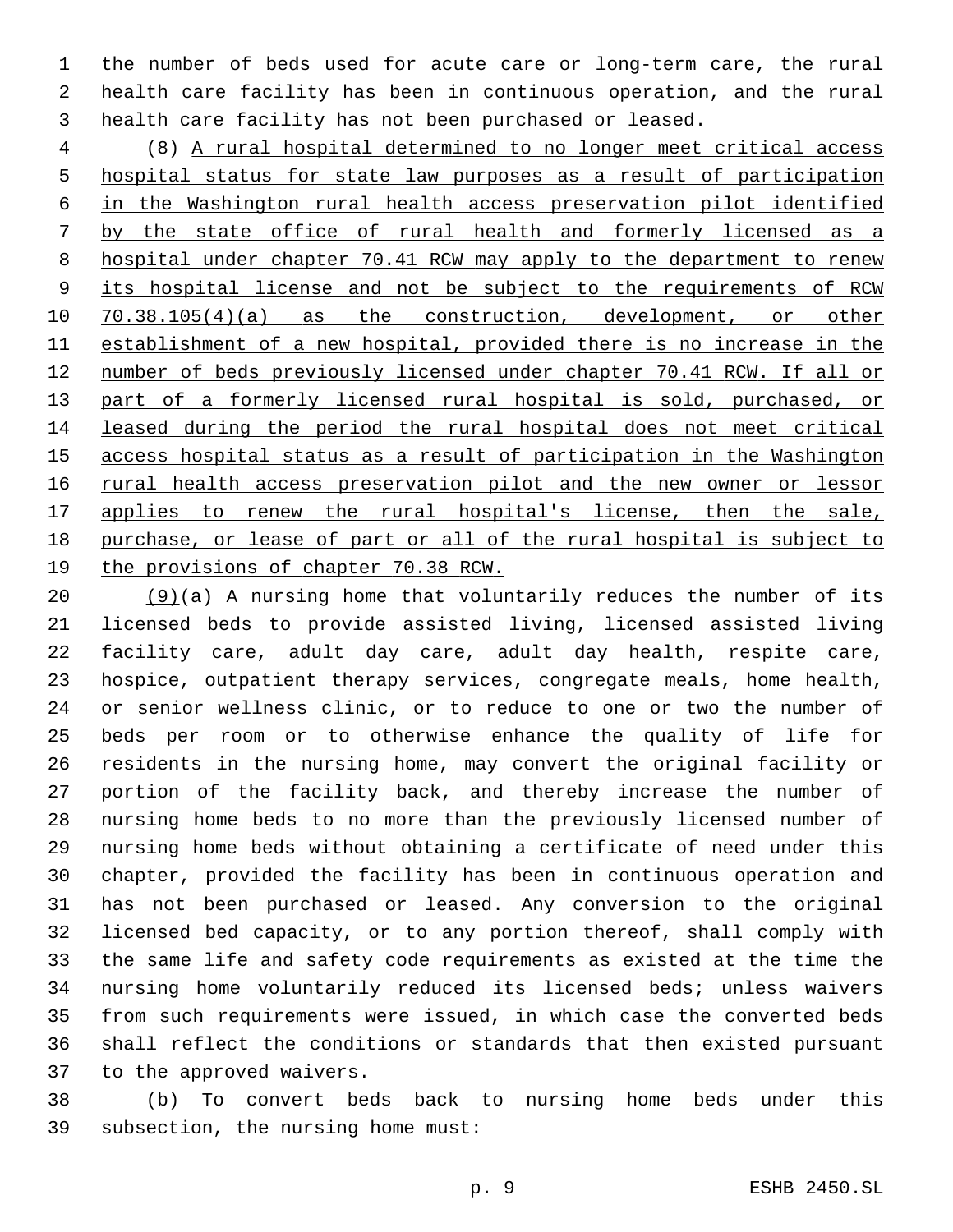the number of beds used for acute care or long-term care, the rural health care facility has been in continuous operation, and the rural health care facility has not been purchased or leased.

 (8) A rural hospital determined to no longer meet critical access hospital status for state law purposes as a result of participation in the Washington rural health access preservation pilot identified by the state office of rural health and formerly licensed as a hospital under chapter 70.41 RCW may apply to the department to renew 9 its hospital license and not be subject to the requirements of RCW 70.38.105(4)(a) as the construction, development, or other establishment of a new hospital, provided there is no increase in the number of beds previously licensed under chapter 70.41 RCW. If all or 13 part of a formerly licensed rural hospital is sold, purchased, or leased during the period the rural hospital does not meet critical access hospital status as a result of participation in the Washington 16 rural health access preservation pilot and the new owner or lessor applies to renew the rural hospital's license, then the sale, purchase, or lease of part or all of the rural hospital is subject to the provisions of chapter 70.38 RCW.

 $(9)(a)$  A nursing home that voluntarily reduces the number of its licensed beds to provide assisted living, licensed assisted living facility care, adult day care, adult day health, respite care, hospice, outpatient therapy services, congregate meals, home health, or senior wellness clinic, or to reduce to one or two the number of beds per room or to otherwise enhance the quality of life for residents in the nursing home, may convert the original facility or portion of the facility back, and thereby increase the number of nursing home beds to no more than the previously licensed number of nursing home beds without obtaining a certificate of need under this chapter, provided the facility has been in continuous operation and has not been purchased or leased. Any conversion to the original licensed bed capacity, or to any portion thereof, shall comply with the same life and safety code requirements as existed at the time the nursing home voluntarily reduced its licensed beds; unless waivers from such requirements were issued, in which case the converted beds shall reflect the conditions or standards that then existed pursuant 37 to the approved waivers.

 (b) To convert beds back to nursing home beds under this 39 subsection, the nursing home must: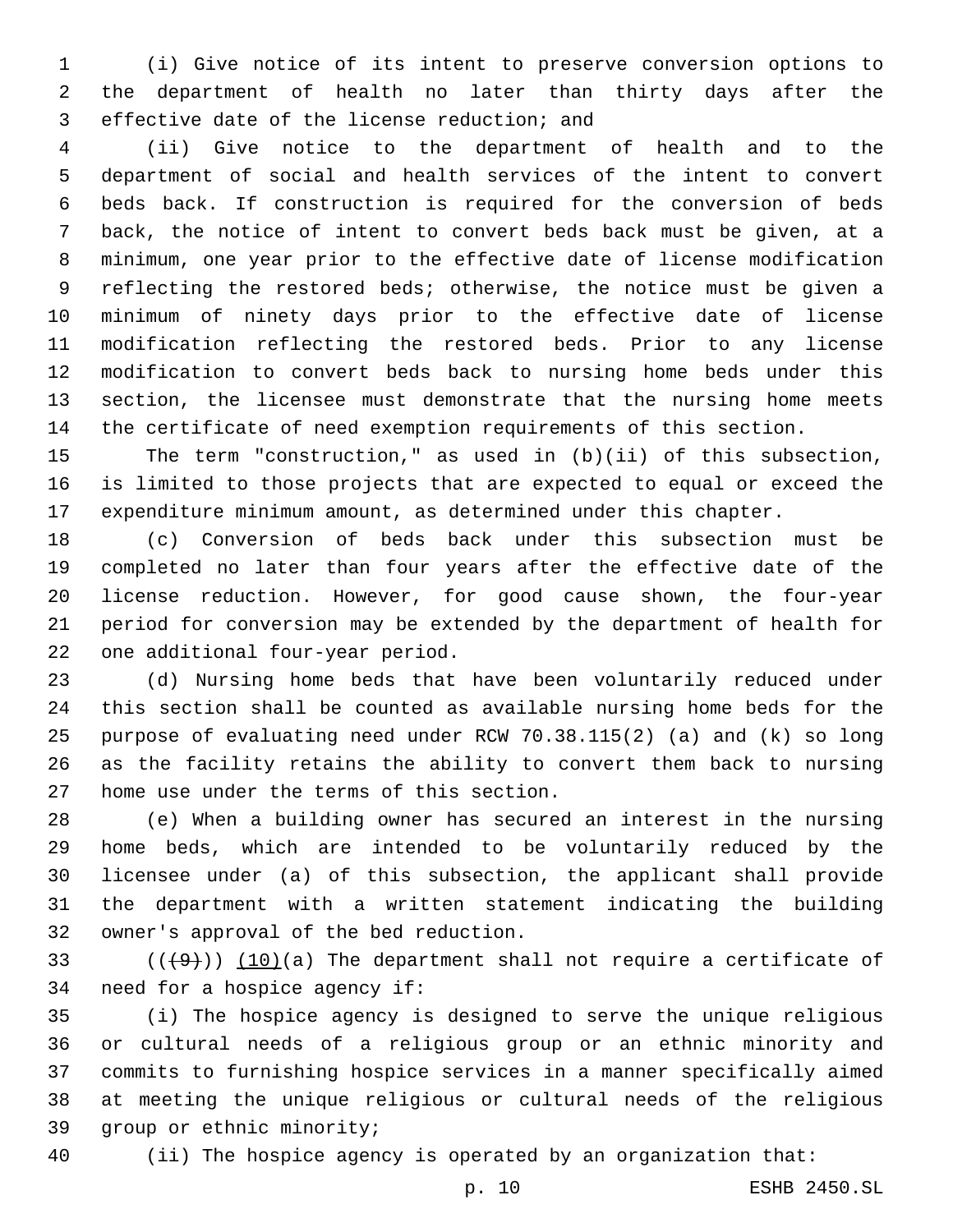(i) Give notice of its intent to preserve conversion options to the department of health no later than thirty days after the 3 effective date of the license reduction; and

 (ii) Give notice to the department of health and to the department of social and health services of the intent to convert beds back. If construction is required for the conversion of beds back, the notice of intent to convert beds back must be given, at a minimum, one year prior to the effective date of license modification reflecting the restored beds; otherwise, the notice must be given a minimum of ninety days prior to the effective date of license modification reflecting the restored beds. Prior to any license modification to convert beds back to nursing home beds under this section, the licensee must demonstrate that the nursing home meets the certificate of need exemption requirements of this section.

 The term "construction," as used in (b)(ii) of this subsection, is limited to those projects that are expected to equal or exceed the expenditure minimum amount, as determined under this chapter.

 (c) Conversion of beds back under this subsection must be completed no later than four years after the effective date of the license reduction. However, for good cause shown, the four-year period for conversion may be extended by the department of health for 22 one additional four-year period.

 (d) Nursing home beds that have been voluntarily reduced under this section shall be counted as available nursing home beds for the purpose of evaluating need under RCW 70.38.115(2) (a) and (k) so long as the facility retains the ability to convert them back to nursing 27 home use under the terms of this section.

 (e) When a building owner has secured an interest in the nursing home beds, which are intended to be voluntarily reduced by the licensee under (a) of this subsection, the applicant shall provide the department with a written statement indicating the building 32 owner's approval of the bed reduction.

33  $((+9+))$  (10)(a) The department shall not require a certificate of 34 need for a hospice agency if:

 (i) The hospice agency is designed to serve the unique religious or cultural needs of a religious group or an ethnic minority and commits to furnishing hospice services in a manner specifically aimed at meeting the unique religious or cultural needs of the religious 39 group or ethnic minority;

(ii) The hospice agency is operated by an organization that:

p. 10 ESHB 2450.SL